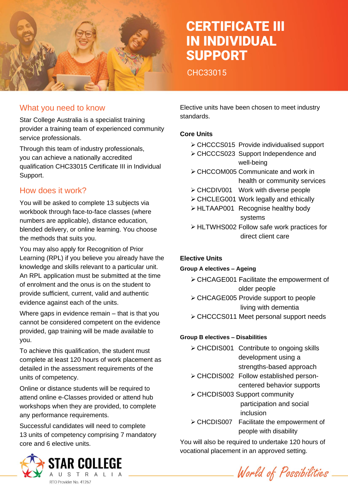

# CERTIFICATE III IN INDIVIDUAL SUPPORT

CHC33015

### What you need to know

Star College Australia is a specialist training provider a training team of experienced community service professionals.

Through this team of industry professionals, you can achieve a nationally accredited qualification CHC33015 Certificate III in Individual Support.

## How does it work?

You will be asked to complete 13 subjects via workbook through face-to-face classes (where numbers are applicable), distance education, blended delivery, or online learning. You choose the methods that suits you.

You may also apply for Recognition of Prior Learning (RPL) if you believe you already have the knowledge and skills relevant to a particular unit. An RPL application must be submitted at the time of enrolment and the onus is on the student to provide sufficient, current, valid and authentic evidence against each of the units.

Where gaps in evidence remain – that is that you cannot be considered competent on the evidence provided, gap training will be made available to you.

To achieve this qualification, the student must complete at least 120 hours of work placement as detailed in the assessment requirements of the units of competency.

Online or distance students will be required to attend online e-Classes provided or attend hub workshops when they are provided, to complete any performance requirements.

Successful candidates will need to complete 13 units of competency comprising 7 mandatory core and 6 elective units.



Elective units have been chosen to meet industry standards.

### **Core Units**

- ➢ CHCCCS015 Provide individualised support
- ➢ CHCCCS023 Support Independence and well-being
- ➢ CHCCOM005 Communicate and work in health or community services
- ➢ CHCDIV001 Work with diverse people
- ➢ CHCLEG001 Work legally and ethically
- ➢ HLTAAP001 Recognise healthy body systems
- ➢ HLTWHS002 Follow safe work practices for direct client care

### **Elective Units**

#### **Group A electives – Ageing**

- ➢ CHCAGE001 Facilitate the empowerment of older people
- ➢ CHCAGE005 Provide support to people living with dementia
- ➢ CHCCCS011 Meet personal support needs

### **Group B electives – Disabilities**

- ➢ CHCDIS001 Contribute to ongoing skills development using a strengths-based approach
- ➢ CHCDIS002 Follow established personcentered behavior supports
- ➢ CHCDIS003 Support community participation and social inclusion
- ➢ CHCDIS007 Facilitate the empowerment of people with disability

You will also be required to undertake 120 hours of vocational placement in an approved setting.

World of Possibilities